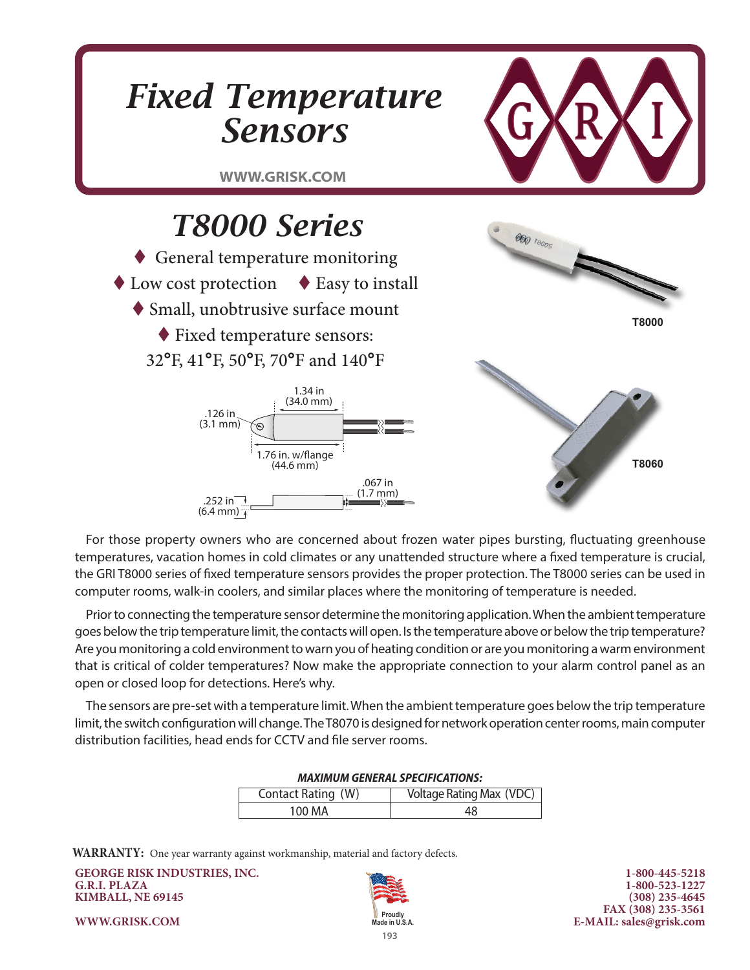

For those property owners who are concerned about frozen water pipes bursting, fluctuating greenhouse temperatures, vacation homes in cold climates or any unattended structure where a fixed temperature is crucial, the GRI T8000 series of fixed temperature sensors provides the proper protection. The T8000 series can be used in computer rooms, walk-in coolers, and similar places where the monitoring of temperature is needed.

Prior to connecting the temperature sensor determine the monitoring application. When the ambient temperature goes below the trip temperature limit, the contacts will open. Is the temperature above or below the trip temperature? Are you monitoring a cold environment to warn you of heating condition or are you monitoring a warm environment that is critical of colder temperatures? Now make the appropriate connection to your alarm control panel as an open or closed loop for detections. Here's why.

The sensors are pre-set with a temperature limit. When the ambient temperature goes below the trip temperature limit, the switch configuration will change. The T8070 is designed for network operation center rooms, main computer distribution facilities, head ends for CCTV and file server rooms.

| MAAIMUM GENERAL SPECIFICATIONS. |                                 |  |  |
|---------------------------------|---------------------------------|--|--|
| Contact Rating (W)              | <b>Voltage Rating Max (VDC)</b> |  |  |
| 100 MA                          | 48                              |  |  |

### *MAXIMUM GENERAL SPECIFICATIONS:*

**WARRANTY:** One year warranty against workmanship, material and factory defects.

**GEORGE RISK INDUSTRIES, INC. G.R.I. PLAZA KIMBALL, NE 69145**



**1-800-445-5218 1-800-523-1227 (308) 235-4645 FAX (308) 235-3561 E-MAIL: sales@grisk.com**

**WWW.GRISK.COM**